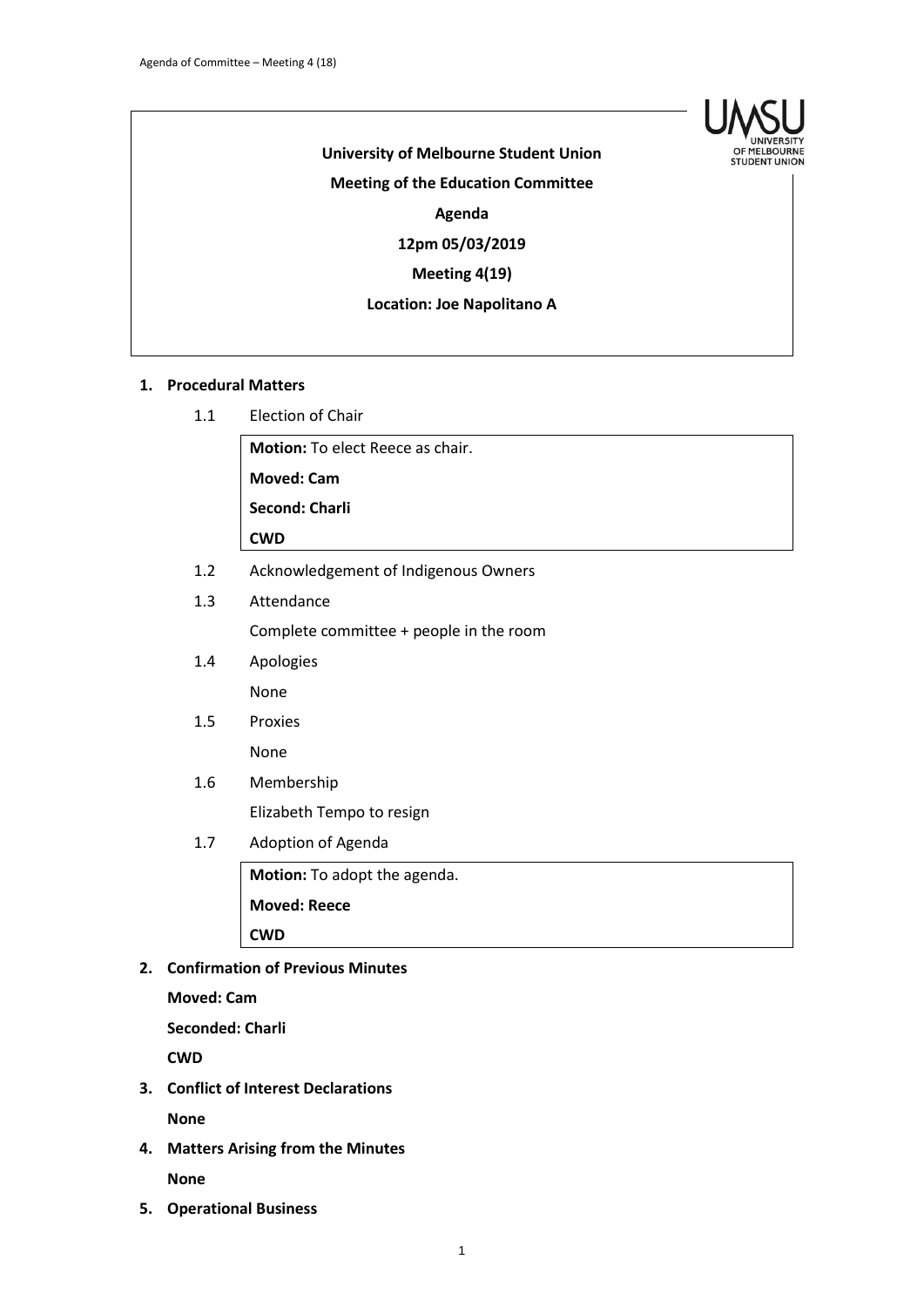

# **University of Melbourne Student Union Meeting of the Education Committee Agenda**

**12pm 05/03/2019**

## **Meeting 4(19)**

#### **Location: Joe Napolitano A**

#### **1. Procedural Matters**

1.1 Election of Chair

**Motion:** To elect Reece as chair.

**Moved: Cam**

**Second: Charli**

**CWD**

- 1.2 Acknowledgement of Indigenous Owners
- 1.3 Attendance Complete committee + people in the room
- 1.4 Apologies None
- 1.5 Proxies None

## 1.6 Membership

Elizabeth Tempo to resign

1.7 Adoption of Agenda

**Motion:** To adopt the agenda. **Moved: Reece CWD**

## **2. Confirmation of Previous Minutes**

**Moved: Cam**

**Seconded: Charli**

**CWD**

- **3. Conflict of Interest Declarations None**
- **4. Matters Arising from the Minutes None**
- **5. Operational Business**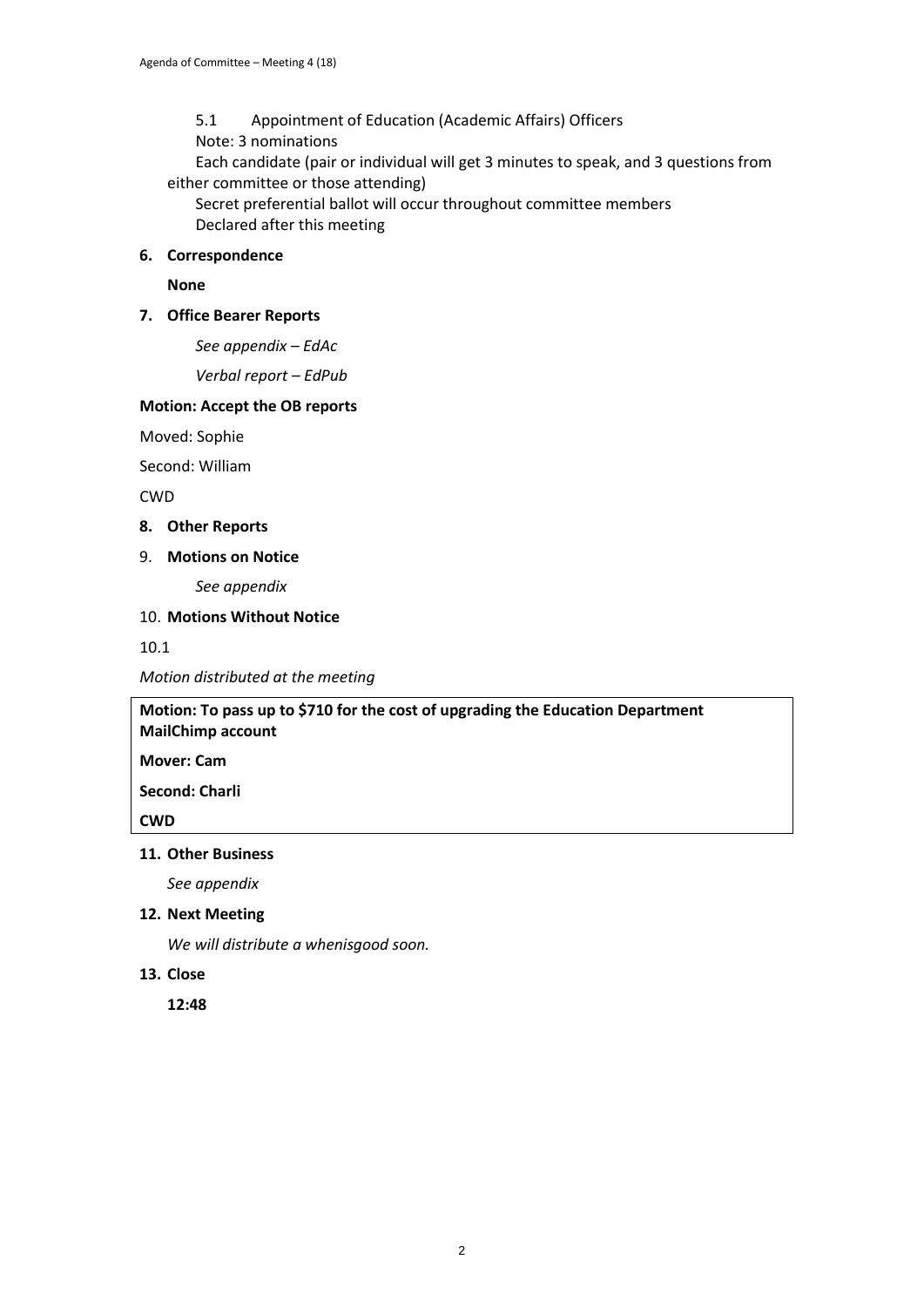5.1 Appointment of Education (Academic Affairs) Officers Note: 3 nominations Each candidate (pair or individual will get 3 minutes to speak, and 3 questions from

either committee or those attending)

Secret preferential ballot will occur throughout committee members Declared after this meeting

#### **6. Correspondence**

**None**

#### **7. Office Bearer Reports**

*See appendix – EdAc*

*Verbal report – EdPub*

## **Motion: Accept the OB reports**

Moved: Sophie

Second: William

CWD

**8. Other Reports**

#### 9. **Motions on Notice**

*See appendix*

#### 10. **Motions Without Notice**

10.1

*Motion distributed at the meeting*

**Motion: To pass up to \$710 for the cost of upgrading the Education Department MailChimp account**

**Mover: Cam**

**Second: Charli**

**CWD**

#### **11. Other Business**

*See appendix*

**12. Next Meeting**

*We will distribute a whenisgood soon.*

#### **13. Close**

**12:48**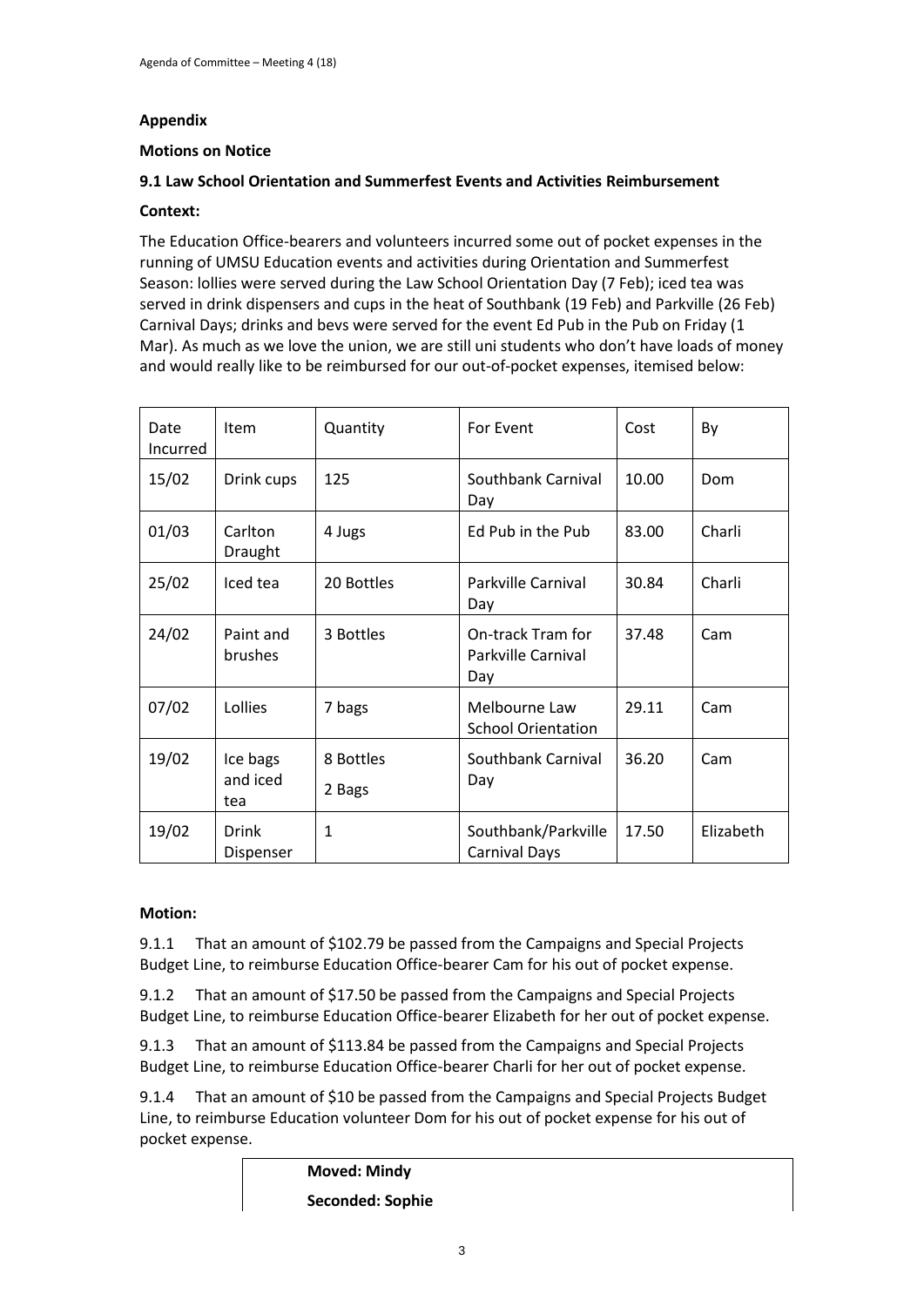## **Appendix**

## **Motions on Notice**

## **9.1 Law School Orientation and Summerfest Events and Activities Reimbursement**

## **Context:**

The Education Office-bearers and volunteers incurred some out of pocket expenses in the running of UMSU Education events and activities during Orientation and Summerfest Season: lollies were served during the Law School Orientation Day (7 Feb); iced tea was served in drink dispensers and cups in the heat of Southbank (19 Feb) and Parkville (26 Feb) Carnival Days; drinks and bevs were served for the event Ed Pub in the Pub on Friday (1 Mar). As much as we love the union, we are still uni students who don't have loads of money and would really like to be reimbursed for our out-of-pocket expenses, itemised below:

| Date<br>Incurred | <b>Item</b>                 | Quantity            | For Event                                      | Cost  | By        |
|------------------|-----------------------------|---------------------|------------------------------------------------|-------|-----------|
| 15/02            | Drink cups                  | 125                 | Southbank Carnival<br>Day                      | 10.00 | Dom       |
| 01/03            | Carlton<br>Draught          | 4 Jugs              | Ed Pub in the Pub                              | 83.00 | Charli    |
| 25/02            | Iced tea                    | 20 Bottles          | Parkville Carnival<br>Day                      | 30.84 | Charli    |
| 24/02            | Paint and<br>brushes        | 3 Bottles           | On-track Tram for<br>Parkville Carnival<br>Day | 37.48 | Cam       |
| 07/02            | Lollies                     | 7 bags              | Melbourne Law<br><b>School Orientation</b>     | 29.11 | Cam       |
| 19/02            | Ice bags<br>and iced<br>tea | 8 Bottles<br>2 Bags | Southbank Carnival<br>Day                      | 36.20 | Cam       |
| 19/02            | <b>Drink</b><br>Dispenser   | $\mathbf{1}$        | Southbank/Parkville<br><b>Carnival Days</b>    | 17.50 | Elizabeth |

## **Motion:**

9.1.1 That an amount of \$102.79 be passed from the Campaigns and Special Projects Budget Line, to reimburse Education Office-bearer Cam for his out of pocket expense.

9.1.2 That an amount of \$17.50 be passed from the Campaigns and Special Projects Budget Line, to reimburse Education Office-bearer Elizabeth for her out of pocket expense.

9.1.3 That an amount of \$113.84 be passed from the Campaigns and Special Projects Budget Line, to reimburse Education Office-bearer Charli for her out of pocket expense.

9.1.4 That an amount of \$10 be passed from the Campaigns and Special Projects Budget Line, to reimburse Education volunteer Dom for his out of pocket expense for his out of pocket expense.

> **Moved: Mindy Seconded: Sophie**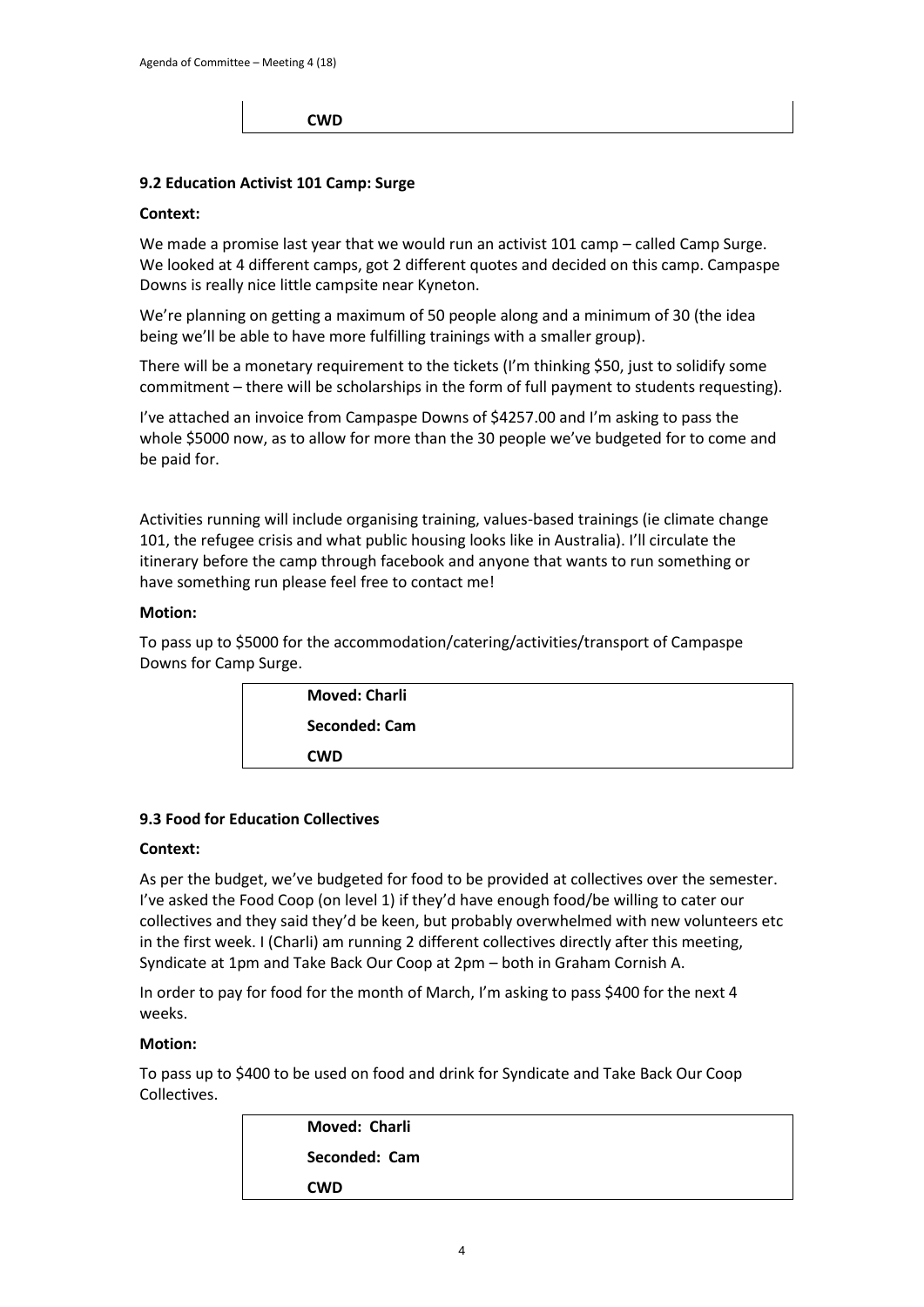#### **CWD**

#### **9.2 Education Activist 101 Camp: Surge**

#### **Context:**

We made a promise last year that we would run an activist 101 camp – called Camp Surge. We looked at 4 different camps, got 2 different quotes and decided on this camp. Campaspe Downs is really nice little campsite near Kyneton.

We're planning on getting a maximum of 50 people along and a minimum of 30 (the idea being we'll be able to have more fulfilling trainings with a smaller group).

There will be a monetary requirement to the tickets (I'm thinking \$50, just to solidify some commitment – there will be scholarships in the form of full payment to students requesting).

I've attached an invoice from Campaspe Downs of \$4257.00 and I'm asking to pass the whole \$5000 now, as to allow for more than the 30 people we've budgeted for to come and be paid for.

Activities running will include organising training, values-based trainings (ie climate change 101, the refugee crisis and what public housing looks like in Australia). I'll circulate the itinerary before the camp through facebook and anyone that wants to run something or have something run please feel free to contact me!

#### **Motion:**

To pass up to \$5000 for the accommodation/catering/activities/transport of Campaspe Downs for Camp Surge.

| <b>Moved: Charli</b> |
|----------------------|
| Seconded: Cam        |
| <b>CWD</b>           |
|                      |

#### **9.3 Food for Education Collectives**

#### **Context:**

As per the budget, we've budgeted for food to be provided at collectives over the semester. I've asked the Food Coop (on level 1) if they'd have enough food/be willing to cater our collectives and they said they'd be keen, but probably overwhelmed with new volunteers etc in the first week. I (Charli) am running 2 different collectives directly after this meeting, Syndicate at 1pm and Take Back Our Coop at 2pm – both in Graham Cornish A.

In order to pay for food for the month of March, I'm asking to pass \$400 for the next 4 weeks.

#### **Motion:**

To pass up to \$400 to be used on food and drink for Syndicate and Take Back Our Coop Collectives.

| Moved: Charli |
|---------------|
| Seconded: Cam |
| <b>CWD</b>    |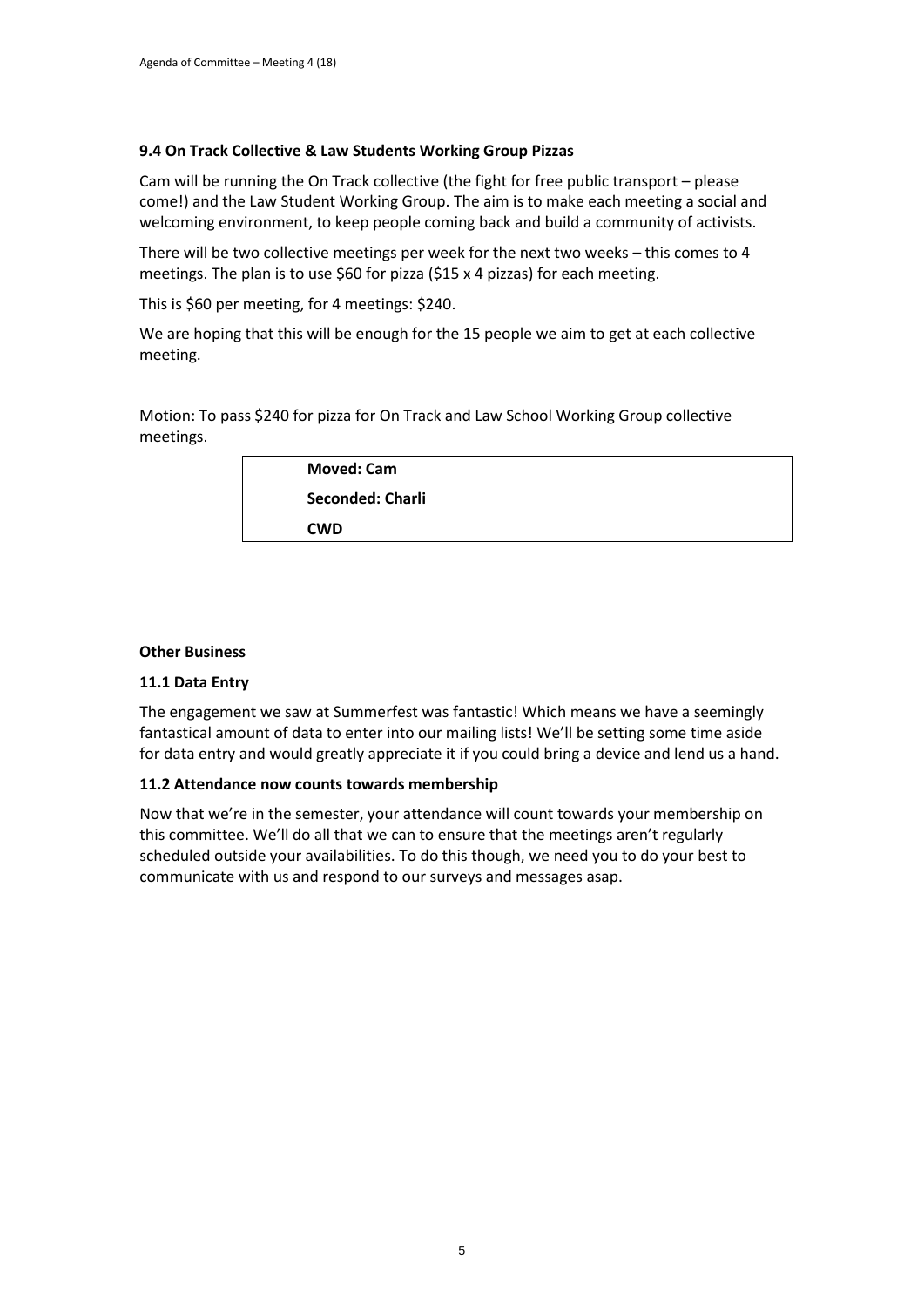## **9.4 On Track Collective & Law Students Working Group Pizzas**

Cam will be running the On Track collective (the fight for free public transport – please come!) and the Law Student Working Group. The aim is to make each meeting a social and welcoming environment, to keep people coming back and build a community of activists.

There will be two collective meetings per week for the next two weeks – this comes to 4 meetings. The plan is to use \$60 for pizza (\$15 x 4 pizzas) for each meeting.

This is \$60 per meeting, for 4 meetings: \$240.

We are hoping that this will be enough for the 15 people we aim to get at each collective meeting.

Motion: To pass \$240 for pizza for On Track and Law School Working Group collective meetings.

| <b>Moved: Cam</b> |  |
|-------------------|--|
| Seconded: Charli  |  |
| <b>CWD</b>        |  |

#### **Other Business**

#### **11.1 Data Entry**

The engagement we saw at Summerfest was fantastic! Which means we have a seemingly fantastical amount of data to enter into our mailing lists! We'll be setting some time aside for data entry and would greatly appreciate it if you could bring a device and lend us a hand.

#### **11.2 Attendance now counts towards membership**

Now that we're in the semester, your attendance will count towards your membership on this committee. We'll do all that we can to ensure that the meetings aren't regularly scheduled outside your availabilities. To do this though, we need you to do your best to communicate with us and respond to our surveys and messages asap.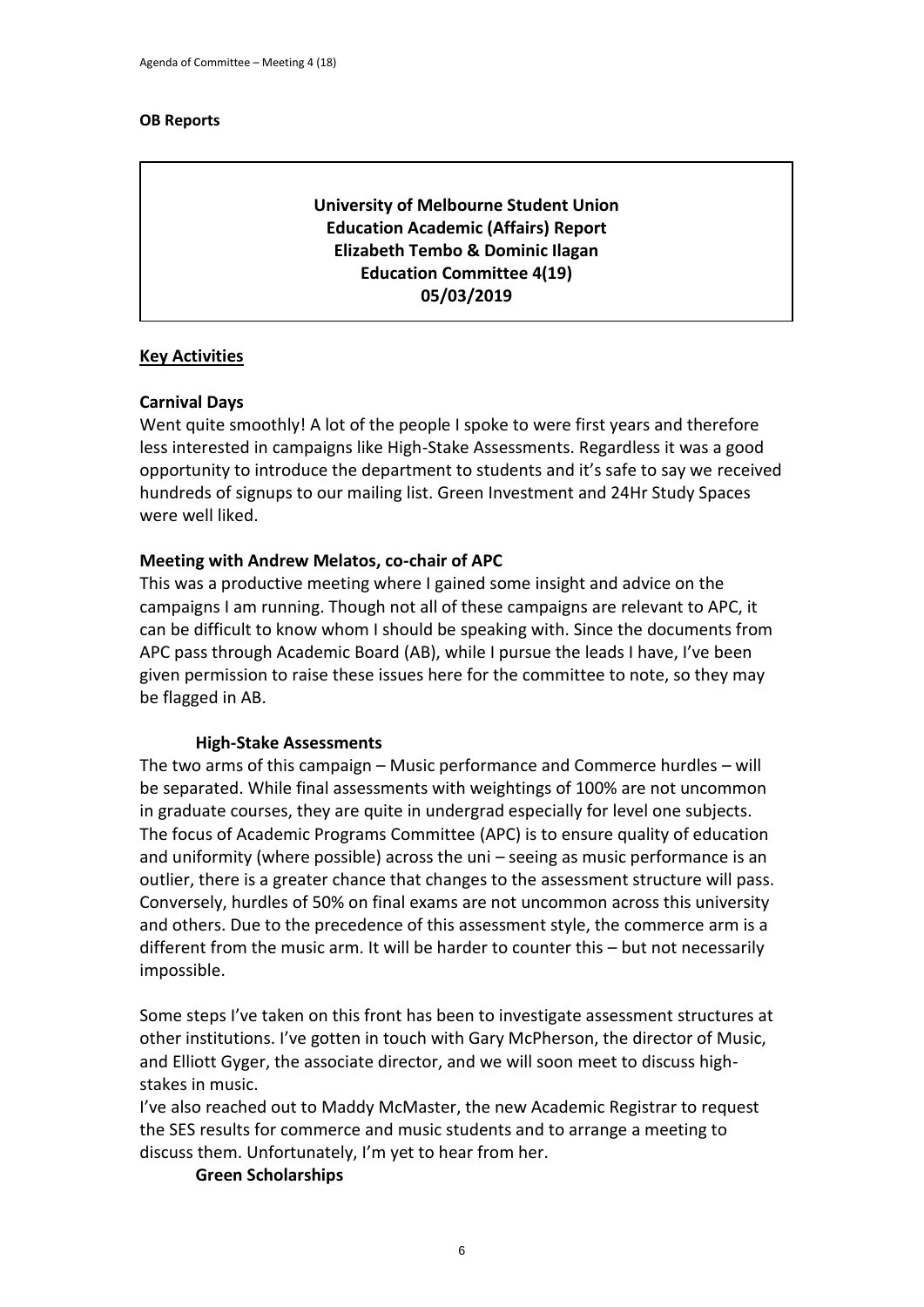## **OB Reports**

## **University of Melbourne Student Union Education Academic (Affairs) Report Elizabeth Tembo & Dominic Ilagan Education Committee 4(19) 05/03/2019**

## **Key Activities**

## **Carnival Days**

Went quite smoothly! A lot of the people I spoke to were first years and therefore less interested in campaigns like High-Stake Assessments. Regardless it was a good opportunity to introduce the department to students and it's safe to say we received hundreds of signups to our mailing list. Green Investment and 24Hr Study Spaces were well liked.

## **Meeting with Andrew Melatos, co-chair of APC**

This was a productive meeting where I gained some insight and advice on the campaigns I am running. Though not all of these campaigns are relevant to APC, it can be difficult to know whom I should be speaking with. Since the documents from APC pass through Academic Board (AB), while I pursue the leads I have, I've been given permission to raise these issues here for the committee to note, so they may be flagged in AB.

## **High-Stake Assessments**

The two arms of this campaign – Music performance and Commerce hurdles – will be separated. While final assessments with weightings of 100% are not uncommon in graduate courses, they are quite in undergrad especially for level one subjects. The focus of Academic Programs Committee (APC) is to ensure quality of education and uniformity (where possible) across the uni – seeing as music performance is an outlier, there is a greater chance that changes to the assessment structure will pass. Conversely, hurdles of 50% on final exams are not uncommon across this university and others. Due to the precedence of this assessment style, the commerce arm is a different from the music arm. It will be harder to counter this – but not necessarily impossible.

Some steps I've taken on this front has been to investigate assessment structures at other institutions. I've gotten in touch with Gary McPherson, the director of Music, and Elliott Gyger, the associate director, and we will soon meet to discuss highstakes in music.

I've also reached out to Maddy McMaster, the new Academic Registrar to request the SES results for commerce and music students and to arrange a meeting to discuss them. Unfortunately, I'm yet to hear from her.

## **Green Scholarships**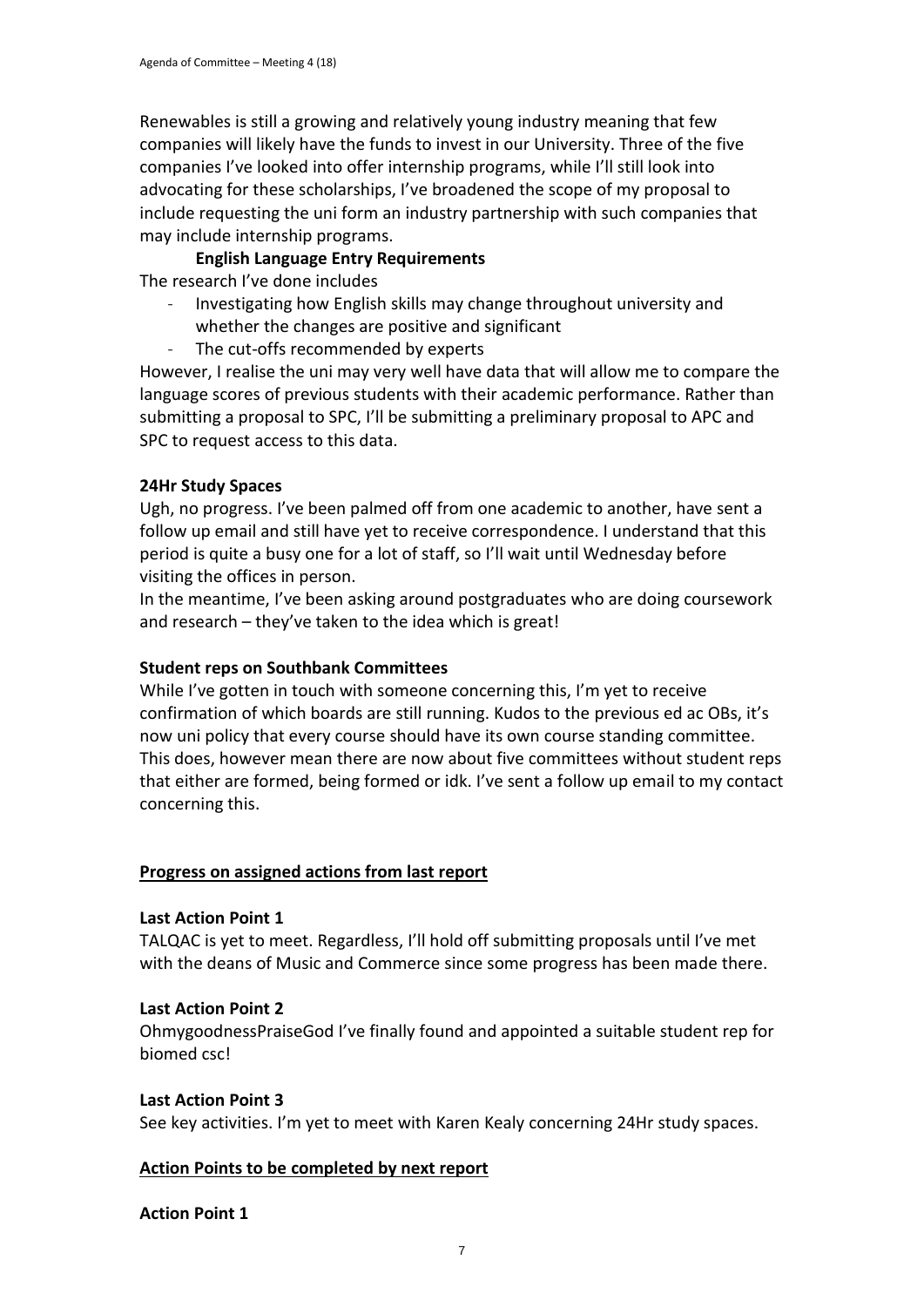Renewables is still a growing and relatively young industry meaning that few companies will likely have the funds to invest in our University. Three of the five companies I've looked into offer internship programs, while I'll still look into advocating for these scholarships, I've broadened the scope of my proposal to include requesting the uni form an industry partnership with such companies that may include internship programs.

## **English Language Entry Requirements**

The research I've done includes

- Investigating how English skills may change throughout university and
- whether the changes are positive and significant
- The cut-offs recommended by experts

However, I realise the uni may very well have data that will allow me to compare the language scores of previous students with their academic performance. Rather than submitting a proposal to SPC, I'll be submitting a preliminary proposal to APC and SPC to request access to this data.

## **24Hr Study Spaces**

Ugh, no progress. I've been palmed off from one academic to another, have sent a follow up email and still have yet to receive correspondence. I understand that this period is quite a busy one for a lot of staff, so I'll wait until Wednesday before visiting the offices in person.

In the meantime, I've been asking around postgraduates who are doing coursework and research – they've taken to the idea which is great!

## **Student reps on Southbank Committees**

While I've gotten in touch with someone concerning this, I'm yet to receive confirmation of which boards are still running. Kudos to the previous ed ac OBs, it's now uni policy that every course should have its own course standing committee. This does, however mean there are now about five committees without student reps that either are formed, being formed or idk. I've sent a follow up email to my contact concerning this.

## **Progress on assigned actions from last report**

## **Last Action Point 1**

TALQAC is yet to meet. Regardless, I'll hold off submitting proposals until I've met with the deans of Music and Commerce since some progress has been made there.

## **Last Action Point 2**

OhmygoodnessPraiseGod I've finally found and appointed a suitable student rep for biomed csc!

## **Last Action Point 3**

See key activities. I'm yet to meet with Karen Kealy concerning 24Hr study spaces.

## **Action Points to be completed by next report**

## **Action Point 1**